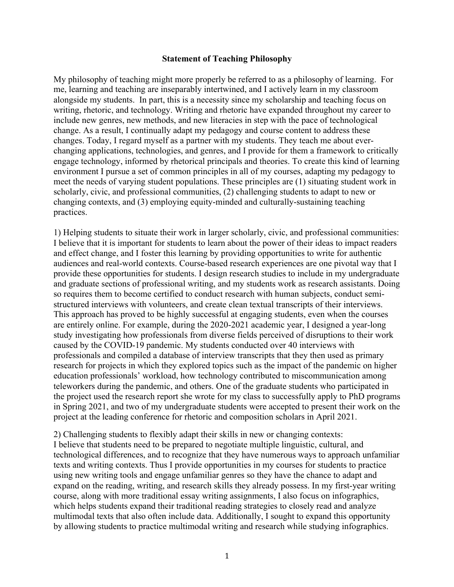## **Statement of Teaching Philosophy**

My philosophy of teaching might more properly be referred to as a philosophy of learning. For me, learning and teaching are inseparably intertwined, and I actively learn in my classroom alongside my students. In part, this is a necessity since my scholarship and teaching focus on writing, rhetoric, and technology. Writing and rhetoric have expanded throughout my career to include new genres, new methods, and new literacies in step with the pace of technological change. As a result, I continually adapt my pedagogy and course content to address these changes. Today, I regard myself as a partner with my students. They teach me about everchanging applications, technologies, and genres, and I provide for them a framework to critically engage technology, informed by rhetorical principals and theories. To create this kind of learning environment I pursue a set of common principles in all of my courses, adapting my pedagogy to meet the needs of varying student populations. These principles are (1) situating student work in scholarly, civic, and professional communities, (2) challenging students to adapt to new or changing contexts, and (3) employing equity-minded and culturally-sustaining teaching practices.

1) Helping students to situate their work in larger scholarly, civic, and professional communities: I believe that it is important for students to learn about the power of their ideas to impact readers and effect change, and I foster this learning by providing opportunities to write for authentic audiences and real-world contexts. Course-based research experiences are one pivotal way that I provide these opportunities for students. I design research studies to include in my undergraduate and graduate sections of professional writing, and my students work as research assistants. Doing so requires them to become certified to conduct research with human subjects, conduct semistructured interviews with volunteers, and create clean textual transcripts of their interviews. This approach has proved to be highly successful at engaging students, even when the courses are entirely online. For example, during the 2020-2021 academic year, I designed a year-long study investigating how professionals from diverse fields perceived of disruptions to their work caused by the COVID-19 pandemic. My students conducted over 40 interviews with professionals and compiled a database of interview transcripts that they then used as primary research for projects in which they explored topics such as the impact of the pandemic on higher education professionals' workload, how technology contributed to miscommunication among teleworkers during the pandemic, and others. One of the graduate students who participated in the project used the research report she wrote for my class to successfully apply to PhD programs in Spring 2021, and two of my undergraduate students were accepted to present their work on the project at the leading conference for rhetoric and composition scholars in April 2021.

2) Challenging students to flexibly adapt their skills in new or changing contexts: I believe that students need to be prepared to negotiate multiple linguistic, cultural, and technological differences, and to recognize that they have numerous ways to approach unfamiliar texts and writing contexts. Thus I provide opportunities in my courses for students to practice using new writing tools and engage unfamiliar genres so they have the chance to adapt and expand on the reading, writing, and research skills they already possess. In my first-year writing course, along with more traditional essay writing assignments, I also focus on infographics, which helps students expand their traditional reading strategies to closely read and analyze multimodal texts that also often include data. Additionally, I sought to expand this opportunity by allowing students to practice multimodal writing and research while studying infographics.